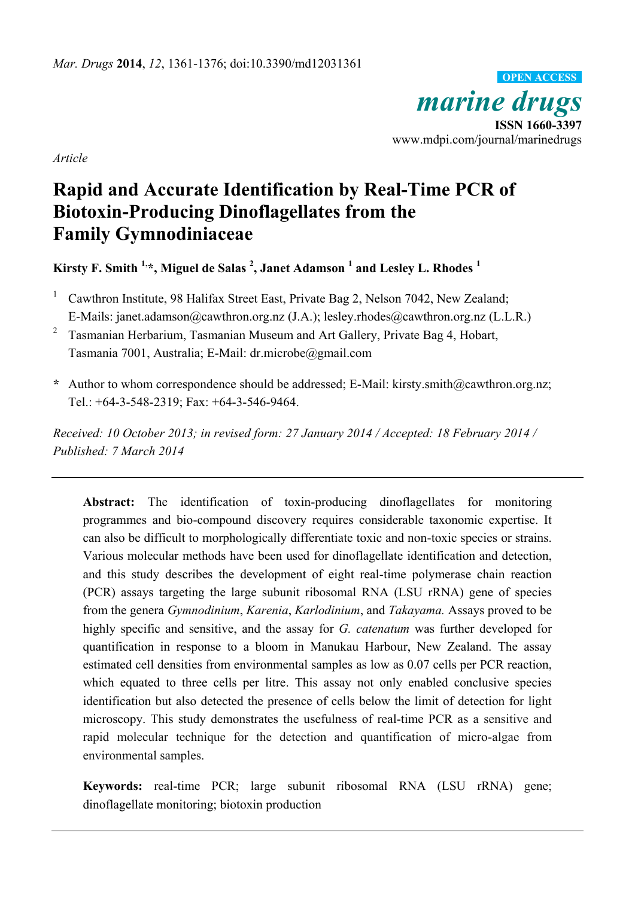*marine drugs* **ISSN 1660-3397** www.mdpi.com/journal/marinedrugs **OPEN ACCESS**

*Article*

# **Rapid and Accurate Identification by Real-Time PCR of Biotoxin-Producing Dinoflagellates from the Family Gymnodiniaceae**

**Kirsty F. Smith 1, \*, Miguel de Salas <sup>2</sup> , Janet Adamson <sup>1</sup> and Lesley L. Rhodes <sup>1</sup>**

<sup>1</sup> Cawthron Institute, 98 Halifax Street East, Private Bag 2, Nelson 7042, New Zealand; E-Mails: janet.adamson@cawthron.org.nz (J.A.); lesley.rhodes@cawthron.org.nz (L.L.R.)

2 Tasmanian Herbarium, Tasmanian Museum and Art Gallery, Private Bag 4, Hobart, Tasmania 7001, Australia; E-Mail: dr.microbe@gmail.com

**\*** Author to whom correspondence should be addressed; E-Mail: kirsty.smith@cawthron.org.nz; Tel.: +64-3-548-2319; Fax: +64-3-546-9464.

*Received: 10 October 2013; in revised form: 27 January 2014 / Accepted: 18 February 2014 / Published: 7 March 2014*

**Abstract:** The identification of toxin-producing dinoflagellates for monitoring programmes and bio-compound discovery requires considerable taxonomic expertise. It can also be difficult to morphologically differentiate toxic and non-toxic species or strains. Various molecular methods have been used for dinoflagellate identification and detection, and this study describes the development of eight real-time polymerase chain reaction (PCR) assays targeting the large subunit ribosomal RNA (LSU rRNA) gene of species from the genera *Gymnodinium*, *Karenia*, *Karlodinium*, and *Takayama.* Assays proved to be highly specific and sensitive, and the assay for *G. catenatum* was further developed for quantification in response to a bloom in Manukau Harbour, New Zealand. The assay estimated cell densities from environmental samples as low as 0.07 cells per PCR reaction, which equated to three cells per litre. This assay not only enabled conclusive species identification but also detected the presence of cells below the limit of detection for light microscopy. This study demonstrates the usefulness of real-time PCR as a sensitive and rapid molecular technique for the detection and quantification of micro-algae from environmental samples.

**Keywords:** real-time PCR; large subunit ribosomal RNA (LSU rRNA) gene; dinoflagellate monitoring; biotoxin production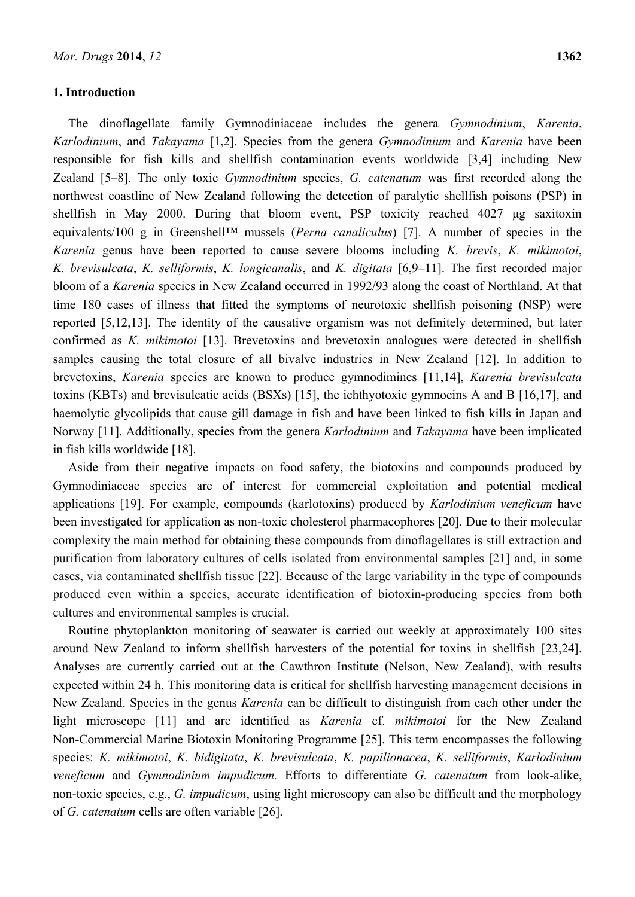#### **1. Introduction**

The dinoflagellate family Gymnodiniaceae includes the genera *Gymnodinium*, *Karenia*, *Karlodinium*, and *Takayama* [1,2]. Species from the genera *Gymnodinium* and *Karenia* have been responsible for fish kills and shellfish contamination events worldwide [3,4] including New Zealand [5–8]. The only toxic *Gymnodinium* species, *G. catenatum* was first recorded along the northwest coastline of New Zealand following the detection of paralytic shellfish poisons (PSP) in shellfish in May 2000. During that bloom event, PSP toxicity reached 4027 μg saxitoxin equivalents/100 g in Greenshell™ mussels (*Perna canaliculus*) [7]. A number of species in the *Karenia* genus have been reported to cause severe blooms including *K. brevis*, *K. mikimotoi*, *K. brevisulcata*, *K. selliformis*, *K. longicanalis*, and *K. digitata* [6,9–11]. The first recorded major bloom of a *Karenia* species in New Zealand occurred in 1992/93 along the coast of Northland. At that time 180 cases of illness that fitted the symptoms of neurotoxic shellfish poisoning (NSP) were reported [5,12,13]. The identity of the causative organism was not definitely determined, but later confirmed as *K. mikimotoi* [13]. Brevetoxins and brevetoxin analogues were detected in shellfish samples causing the total closure of all bivalve industries in New Zealand [12]. In addition to brevetoxins, *Karenia* species are known to produce gymnodimines [11,14], *Karenia brevisulcata* toxins (KBTs) and brevisulcatic acids (BSXs) [15], the ichthyotoxic gymnocins A and B [16,17], and haemolytic glycolipids that cause gill damage in fish and have been linked to fish kills in Japan and Norway [11]. Additionally, species from the genera *Karlodinium* and *Takayama* have been implicated in fish kills worldwide [18].

Aside from their negative impacts on food safety, the biotoxins and compounds produced by Gymnodiniaceae species are of interest for commercial exploitation and potential medical applications [19]. For example, compounds (karlotoxins) produced by *Karlodinium veneficum* have been investigated for application as non-toxic cholesterol pharmacophores [20]. Due to their molecular complexity the main method for obtaining these compounds from dinoflagellates is still extraction and purification from laboratory cultures of cells isolated from environmental samples [21] and, in some cases, via contaminated shellfish tissue [22]. Because of the large variability in the type of compounds produced even within a species, accurate identification of biotoxin-producing species from both cultures and environmental samples is crucial.

Routine phytoplankton monitoring of seawater is carried out weekly at approximately 100 sites around New Zealand to inform shellfish harvesters of the potential for toxins in shellfish [23,24]. Analyses are currently carried out at the Cawthron Institute (Nelson, New Zealand), with results expected within 24 h. This monitoring data is critical for shellfish harvesting management decisions in New Zealand. Species in the genus *Karenia* can be difficult to distinguish from each other under the light microscope [11] and are identified as *Karenia* cf. *mikimotoi* for the New Zealand Non-Commercial Marine Biotoxin Monitoring Programme [25]. This term encompasses the following species: *K. mikimotoi*, *K. bidigitata*, *K. brevisulcata*, *K. papilionacea*, *K. selliformis*, *Karlodinium veneficum* and *Gymnodinium impudicum.* Efforts to differentiate *G. catenatum* from look-alike, non-toxic species, e.g., *G. impudicum*, using light microscopy can also be difficult and the morphology of *G. catenatum* cells are often variable [26].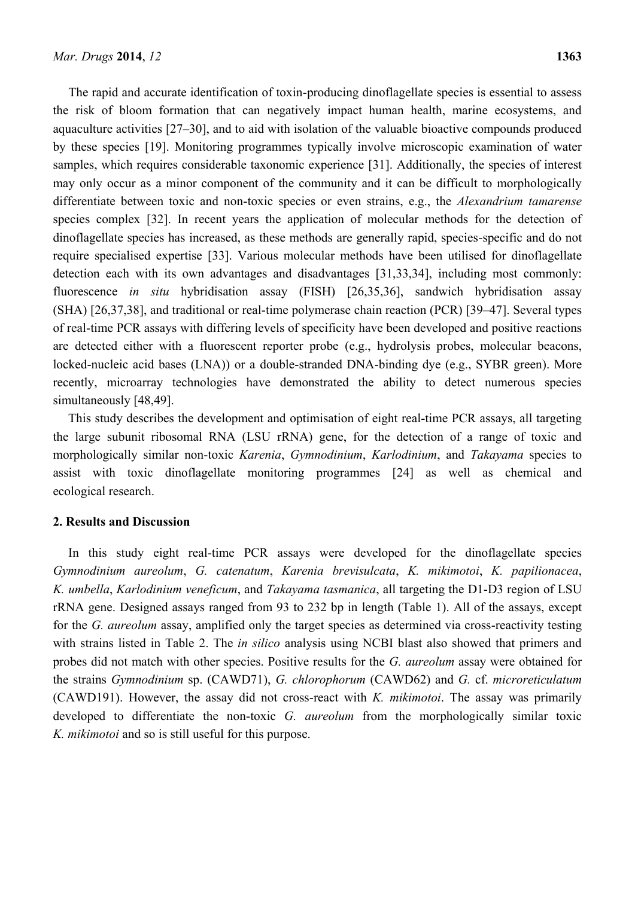The rapid and accurate identification of toxin-producing dinoflagellate species is essential to assess the risk of bloom formation that can negatively impact human health, marine ecosystems, and aquaculture activities [27–30], and to aid with isolation of the valuable bioactive compounds produced by these species [19]. Monitoring programmes typically involve microscopic examination of water samples, which requires considerable taxonomic experience [31]. Additionally, the species of interest may only occur as a minor component of the community and it can be difficult to morphologically differentiate between toxic and non-toxic species or even strains, e.g., the *Alexandrium tamarense* species complex [32]. In recent years the application of molecular methods for the detection of dinoflagellate species has increased, as these methods are generally rapid, species-specific and do not require specialised expertise [33]. Various molecular methods have been utilised for dinoflagellate detection each with its own advantages and disadvantages [31,33,34], including most commonly: fluorescence *in situ* hybridisation assay (FISH) [26,35,36], sandwich hybridisation assay (SHA) [26,37,38], and traditional or real-time polymerase chain reaction (PCR) [39–47]. Several types of real-time PCR assays with differing levels of specificity have been developed and positive reactions are detected either with a fluorescent reporter probe (e.g., hydrolysis probes, molecular beacons, locked-nucleic acid bases (LNA)) or a double-stranded DNA-binding dye (e.g., SYBR green). More recently, microarray technologies have demonstrated the ability to detect numerous species simultaneously [48,49].

This study describes the development and optimisation of eight real-time PCR assays, all targeting the large subunit ribosomal RNA (LSU rRNA) gene, for the detection of a range of toxic and morphologically similar non-toxic *Karenia*, *Gymnodinium*, *Karlodinium*, and *Takayama* species to assist with toxic dinoflagellate monitoring programmes [24] as well as chemical and ecological research.

## **2. Results and Discussion**

In this study eight real-time PCR assays were developed for the dinoflagellate species *Gymnodinium aureolum*, *G. catenatum*, *Karenia brevisulcata*, *K. mikimotoi*, *K. papilionacea*, *K. umbella*, *Karlodinium veneficum*, and *Takayama tasmanica*, all targeting the D1-D3 region of LSU rRNA gene. Designed assays ranged from 93 to 232 bp in length (Table 1). All of the assays, except for the *G. aureolum* assay, amplified only the target species as determined via cross-reactivity testing with strains listed in Table 2. The *in silico* analysis using NCBI blast also showed that primers and probes did not match with other species. Positive results for the *G. aureolum* assay were obtained for the strains *Gymnodinium* sp. (CAWD71), *G. chlorophorum* (CAWD62) and *G.* cf. *microreticulatum* (CAWD191). However, the assay did not cross-react with *K. mikimotoi*. The assay was primarily developed to differentiate the non-toxic *G. aureolum* from the morphologically similar toxic *K. mikimotoi* and so is still useful for this purpose.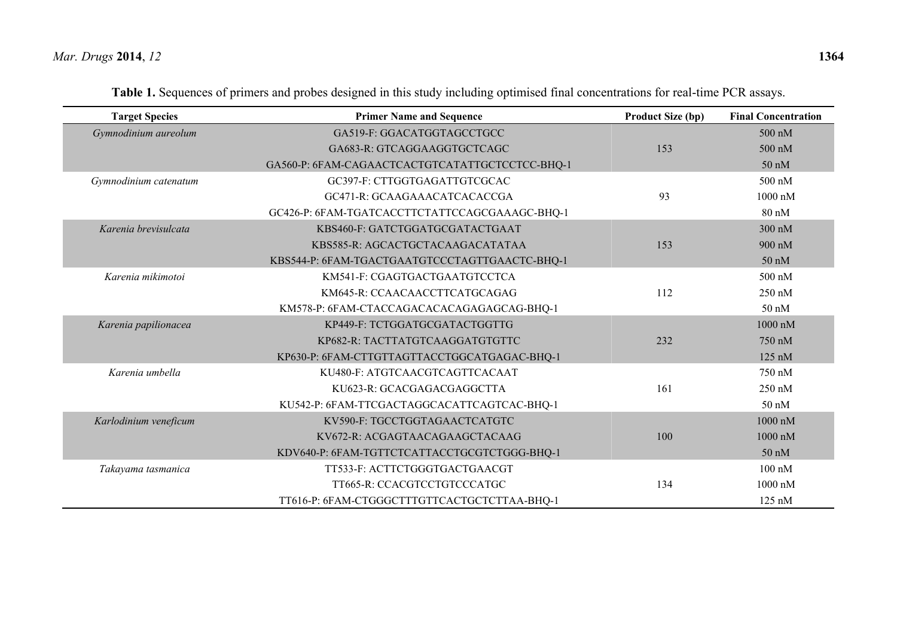| <b>Target Species</b> | <b>Primer Name and Sequence</b>                 | <b>Product Size (bp)</b> | <b>Final Concentration</b> |
|-----------------------|-------------------------------------------------|--------------------------|----------------------------|
| Gymnodinium aureolum  | GA519-F: GGACATGGTAGCCTGCC                      |                          | 500 nM                     |
|                       | GA683-R: GTCAGGAAGGTGCTCAGC                     | 153                      | 500 nM                     |
|                       | GA560-P: 6FAM-CAGAACTCACTGTCATATTGCTCCTCC-BHQ-1 |                          | $50 \text{ nM}$            |
| Gymnodinium catenatum | GC397-F: CTTGGTGAGATTGTCGCAC                    |                          | 500 nM                     |
|                       | GC471-R: GCAAGAAACATCACACCGA                    | 93                       | 1000 nM                    |
|                       | GC426-P: 6FAM-TGATCACCTTCTATTCCAGCGAAAGC-BHQ-1  |                          | 80 nM                      |
| Karenia brevisulcata  | KBS460-F: GATCTGGATGCGATACTGAAT                 |                          | 300 nM                     |
|                       | KBS585-R: AGCACTGCTACAAGACATATAA                | 153                      | 900 nM                     |
|                       | KBS544-P: 6FAM-TGACTGAATGTCCCTAGTTGAACTC-BHQ-1  |                          | 50 nM                      |
| Karenia mikimotoi     | KM541-F: CGAGTGACTGAATGTCCTCA                   |                          | 500 nM                     |
|                       | KM645-R: CCAACAACCTTCATGCAGAG                   | 112                      | 250 nM                     |
|                       | KM578-P: 6FAM-CTACCAGACACACAGAGAGCAG-BHQ-1      |                          | 50 nM                      |
| Karenia papilionacea  | KP449-F: TCTGGATGCGATACTGGTTG                   |                          | $1000 \text{ nM}$          |
|                       | KP682-R: TACTTATGTCAAGGATGTGTTC                 | 232                      | 750 nM                     |
|                       | KP630-P: 6FAM-CTTGTTAGTTACCTGGCATGAGAC-BHQ-1    |                          | $125 \text{ nM}$           |
| Karenia umbella       | KU480-F: ATGTCAACGTCAGTTCACAAT                  |                          | 750 nM                     |
|                       | KU623-R: GCACGAGACGAGGCTTA                      | 161                      | 250 nM                     |
|                       | KU542-P: 6FAM-TTCGACTAGGCACATTCAGTCAC-BHQ-1     |                          | $50 \text{ nM}$            |
| Karlodinium veneficum | KV590-F: TGCCTGGTAGAACTCATGTC                   |                          | 1000 nM                    |
|                       | KV672-R: ACGAGTAACAGAAGCTACAAG                  | 100                      | 1000 nM                    |
|                       | KDV640-P: 6FAM-TGTTCTCATTACCTGCGTCTGGG-BHQ-1    |                          | 50 nM                      |
| Takayama tasmanica    | TT533-F: ACTTCTGGGTGACTGAACGT                   |                          | $100 \text{ nM}$           |
|                       | TT665-R: CCACGTCCTGTCCCATGC                     | 134                      | $1000$ nM                  |
|                       | TT616-P: 6FAM-CTGGGCTTTGTTCACTGCTCTTAA-BHQ-1    |                          | $125 \text{ nM}$           |

|  |  |  | Table 1. Sequences of primers and probes designed in this study including optimised final concentrations for real-time PCR assays. |  |  |  |  |  |  |
|--|--|--|------------------------------------------------------------------------------------------------------------------------------------|--|--|--|--|--|--|
|--|--|--|------------------------------------------------------------------------------------------------------------------------------------|--|--|--|--|--|--|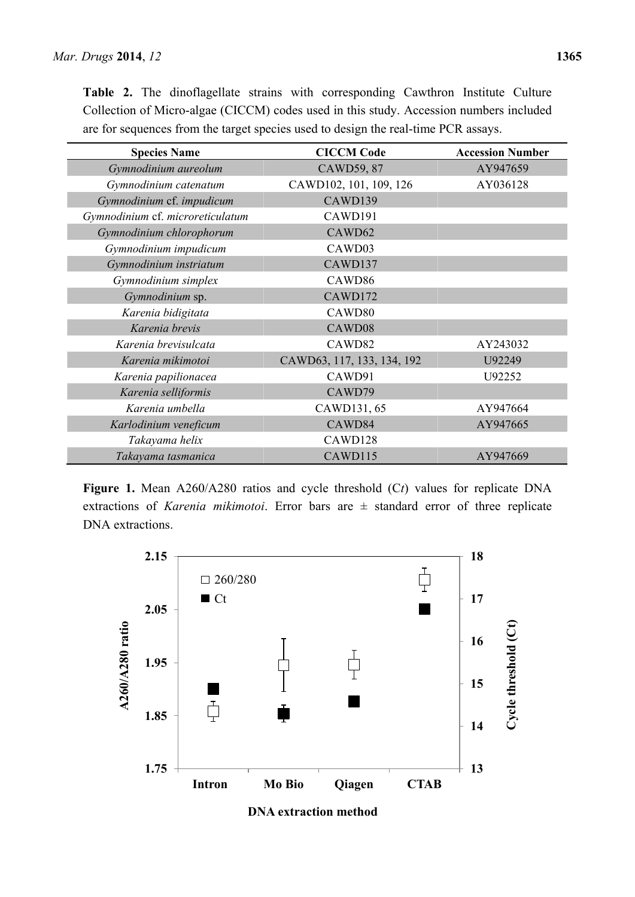**Table 2.** The dinoflagellate strains with corresponding Cawthron Institute Culture Collection of Micro-algae (CICCM) codes used in this study. Accession numbers included are for sequences from the target species used to design the real-time PCR assays.

| <b>Species Name</b>              | <b>CICCM Code</b>          | <b>Accession Number</b> |
|----------------------------------|----------------------------|-------------------------|
| Gymnodinium aureolum             | CAWD59, 87                 | AY947659                |
| Gymnodinium catenatum            | CAWD102, 101, 109, 126     | AY036128                |
| Gymnodinium cf. impudicum        | CAWD139                    |                         |
| Gymnodinium cf. microreticulatum | CAWD191                    |                         |
| Gymnodinium chlorophorum         | CAWD62                     |                         |
| Gymnodinium impudicum            | CAWD03                     |                         |
| Gymnodinium instriatum           | CAWD137                    |                         |
| Gymnodinium simplex              | CAWD86                     |                         |
| Gymnodinium sp.                  | CAWD172                    |                         |
| Karenia bidigitata               | CAWD <sub>80</sub>         |                         |
| Karenia brevis                   | CAWD08                     |                         |
| Karenia brevisulcata             | CAWD82                     | AY243032                |
| Karenia mikimotoi                | CAWD63, 117, 133, 134, 192 | U92249                  |
| Karenia papilionacea             | CAWD91                     | U92252                  |
| Karenia selliformis              | CAWD79                     |                         |
| Karenia umbella                  | CAWD131, 65                | AY947664                |
| Karlodinium veneficum            | CAWD84                     | AY947665                |
| Takayama helix                   | CAWD128                    |                         |
| Takayama tasmanica               | CAWD115                    | AY947669                |

**Figure 1.** Mean A260/A280 ratios and cycle threshold (C*t*) values for replicate DNA extractions of *Karenia mikimotoi*. Error bars are ± standard error of three replicate DNA extractions.



**DNA extraction method**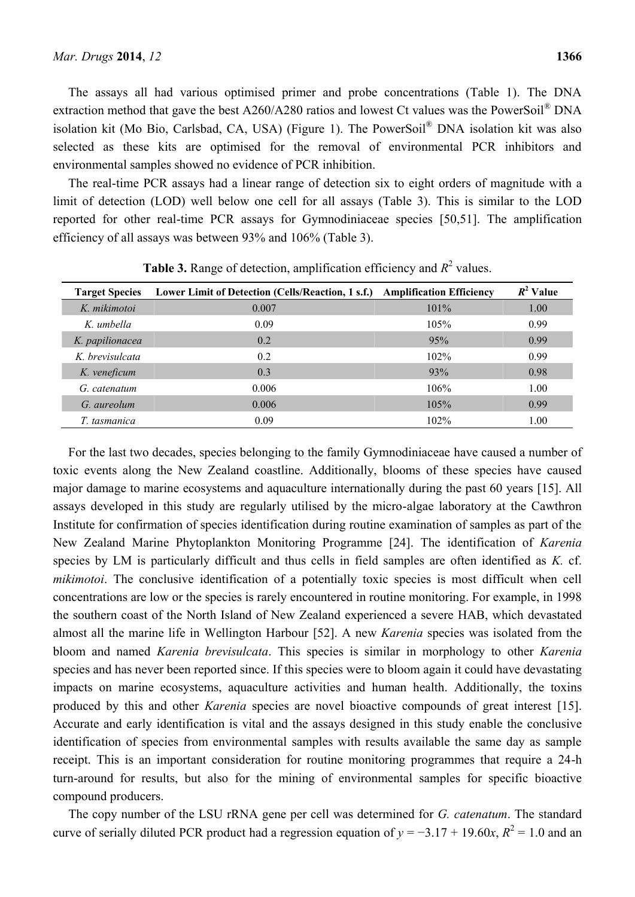The assays all had various optimised primer and probe concentrations (Table 1). The DNA extraction method that gave the best A260/A280 ratios and lowest Ct values was the PowerSoil® DNA isolation kit (Mo Bio, Carlsbad, CA, USA) (Figure 1). The PowerSoil® DNA isolation kit was also selected as these kits are optimised for the removal of environmental PCR inhibitors and environmental samples showed no evidence of PCR inhibition.

The real-time PCR assays had a linear range of detection six to eight orders of magnitude with a limit of detection (LOD) well below one cell for all assays (Table 3). This is similar to the LOD reported for other real-time PCR assays for Gymnodiniaceae species [50,51]. The amplification efficiency of all assays was between 93% and 106% (Table 3).

| <b>Target Species</b> | Lower Limit of Detection (Cells/Reaction, 1 s.f.) Amplification Efficiency |         | $R^2$ Value |
|-----------------------|----------------------------------------------------------------------------|---------|-------------|
| K. mikimotoi          | 0.007                                                                      | $101\%$ | 1.00        |
| K. umbella            | 0.09                                                                       | 105%    | 0.99        |
| K. papilionacea       | 0.2                                                                        | 95%     | 0.99        |
| K. brevisulcata       | 0.2                                                                        | 102%    | 0.99        |
| K. veneficum          | 0.3                                                                        | 93%     | 0.98        |
| G. catenatum          | 0.006                                                                      | 106%    | 1.00        |
| G. aureolum           | 0.006                                                                      | 105%    | 0.99        |
| T. tasmanica          | 0.09                                                                       | 102%    | 1.00        |

**Table 3.** Range of detection, amplification efficiency and  $R^2$  values.

For the last two decades, species belonging to the family Gymnodiniaceae have caused a number of toxic events along the New Zealand coastline. Additionally, blooms of these species have caused major damage to marine ecosystems and aquaculture internationally during the past 60 years [15]. All assays developed in this study are regularly utilised by the micro-algae laboratory at the Cawthron Institute for confirmation of species identification during routine examination of samples as part of the New Zealand Marine Phytoplankton Monitoring Programme [24]. The identification of *Karenia* species by LM is particularly difficult and thus cells in field samples are often identified as *K.* cf. *mikimotoi*. The conclusive identification of a potentially toxic species is most difficult when cell concentrations are low or the species is rarely encountered in routine monitoring. For example, in 1998 the southern coast of the North Island of New Zealand experienced a severe HAB, which devastated almost all the marine life in Wellington Harbour [52]. A new *Karenia* species was isolated from the bloom and named *Karenia brevisulcata*. This species is similar in morphology to other *Karenia*  species and has never been reported since. If this species were to bloom again it could have devastating impacts on marine ecosystems, aquaculture activities and human health. Additionally, the toxins produced by this and other *Karenia* species are novel bioactive compounds of great interest [15]. Accurate and early identification is vital and the assays designed in this study enable the conclusive identification of species from environmental samples with results available the same day as sample receipt. This is an important consideration for routine monitoring programmes that require a 24-h turn-around for results, but also for the mining of environmental samples for specific bioactive compound producers.

The copy number of the LSU rRNA gene per cell was determined for *G. catenatum*. The standard curve of serially diluted PCR product had a regression equation of  $y = -3.17 + 19.60x$ ,  $R^2 = 1.0$  and an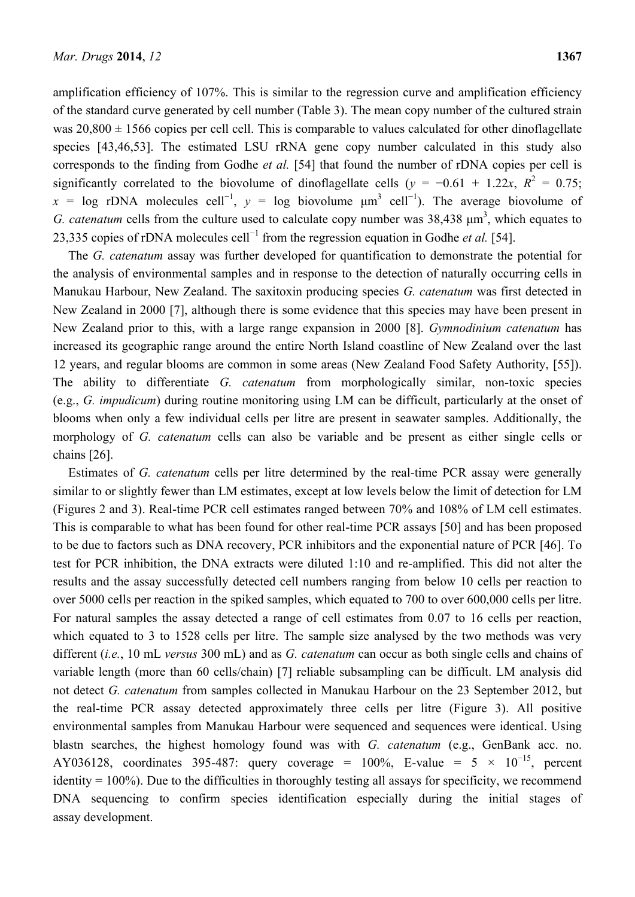amplification efficiency of 107%. This is similar to the regression curve and amplification efficiency of the standard curve generated by cell number (Table 3). The mean copy number of the cultured strain was  $20,800 \pm 1566$  copies per cell cell. This is comparable to values calculated for other dinoflagellate species [43,46,53]. The estimated LSU rRNA gene copy number calculated in this study also corresponds to the finding from Godhe *et al.* [54] that found the number of rDNA copies per cell is significantly correlated to the biovolume of dinoflagellate cells  $(y = -0.61 + 1.22x, R^2 = 0.75;$  $x = \log r$ DNA molecules cell<sup>-1</sup>,  $y = \log r$  biovolume  $\mu$ m<sup>3</sup> cell<sup>-1</sup>). The average biovolume of *G. catenatum* cells from the culture used to calculate copy number was  $38,438 \mu m^3$ , which equates to 23,335 copies of rDNA molecules cell<sup>-1</sup> from the regression equation in Godhe *et al.* [54].

The *G. catenatum* assay was further developed for quantification to demonstrate the potential for the analysis of environmental samples and in response to the detection of naturally occurring cells in Manukau Harbour, New Zealand. The saxitoxin producing species *G. catenatum* was first detected in New Zealand in 2000 [7], although there is some evidence that this species may have been present in New Zealand prior to this, with a large range expansion in 2000 [8]. *Gymnodinium catenatum* has increased its geographic range around the entire North Island coastline of New Zealand over the last 12 years, and regular blooms are common in some areas (New Zealand Food Safety Authority, [55]). The ability to differentiate *G. catenatum* from morphologically similar, non-toxic species (e.g., *G. impudicum*) during routine monitoring using LM can be difficult, particularly at the onset of blooms when only a few individual cells per litre are present in seawater samples. Additionally, the morphology of *G. catenatum* cells can also be variable and be present as either single cells or chains [26].

Estimates of *G. catenatum* cells per litre determined by the real-time PCR assay were generally similar to or slightly fewer than LM estimates, except at low levels below the limit of detection for LM (Figures 2 and 3). Real-time PCR cell estimates ranged between 70% and 108% of LM cell estimates. This is comparable to what has been found for other real-time PCR assays [50] and has been proposed to be due to factors such as DNA recovery, PCR inhibitors and the exponential nature of PCR [46]. To test for PCR inhibition, the DNA extracts were diluted 1:10 and re-amplified. This did not alter the results and the assay successfully detected cell numbers ranging from below 10 cells per reaction to over 5000 cells per reaction in the spiked samples, which equated to 700 to over 600,000 cells per litre. For natural samples the assay detected a range of cell estimates from 0.07 to 16 cells per reaction, which equated to 3 to 1528 cells per litre. The sample size analysed by the two methods was very different (*i.e.*, 10 mL *versus* 300 mL) and as *G. catenatum* can occur as both single cells and chains of variable length (more than 60 cells/chain) [7] reliable subsampling can be difficult. LM analysis did not detect *G. catenatum* from samples collected in Manukau Harbour on the 23 September 2012, but the real-time PCR assay detected approximately three cells per litre (Figure 3). All positive environmental samples from Manukau Harbour were sequenced and sequences were identical. Using blastn searches, the highest homology found was with *G. catenatum* (e.g., GenBank acc. no. AY036128, coordinates 395-487: query coverage = 100%, E-value =  $5 \times 10^{-15}$ , percent identity  $= 100\%$ ). Due to the difficulties in thoroughly testing all assays for specificity, we recommend DNA sequencing to confirm species identification especially during the initial stages of assay development.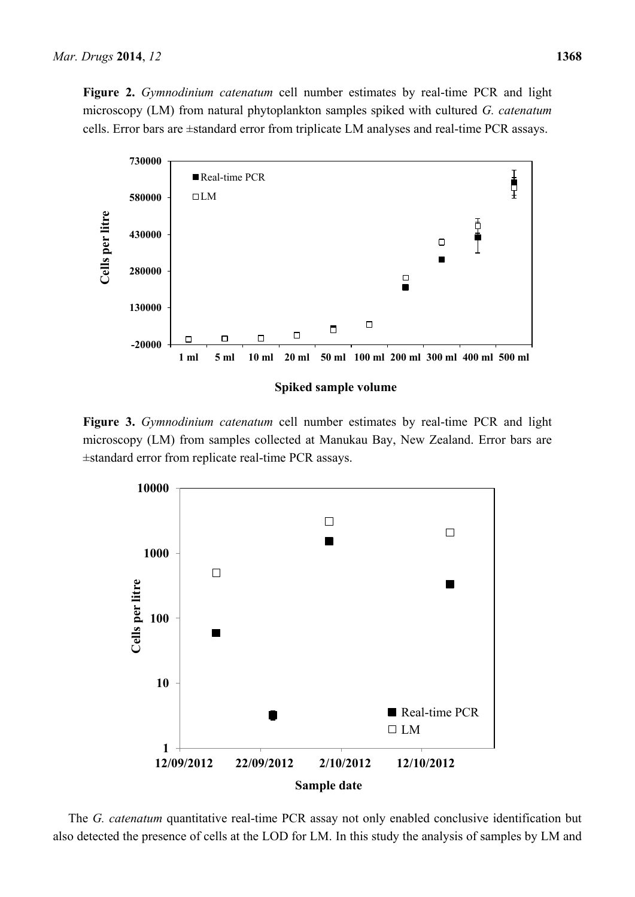**Figure 2.** *Gymnodinium catenatum* cell number estimates by real-time PCR and light microscopy (LM) from natural phytoplankton samples spiked with cultured *G. catenatum* cells. Error bars are ±standard error from triplicate LM analyses and real-time PCR assays.



**Figure 3.** *Gymnodinium catenatum* cell number estimates by real-time PCR and light microscopy (LM) from samples collected at Manukau Bay, New Zealand. Error bars are ±standard error from replicate real-time PCR assays.



The *G. catenatum* quantitative real-time PCR assay not only enabled conclusive identification but also detected the presence of cells at the LOD for LM. In this study the analysis of samples by LM and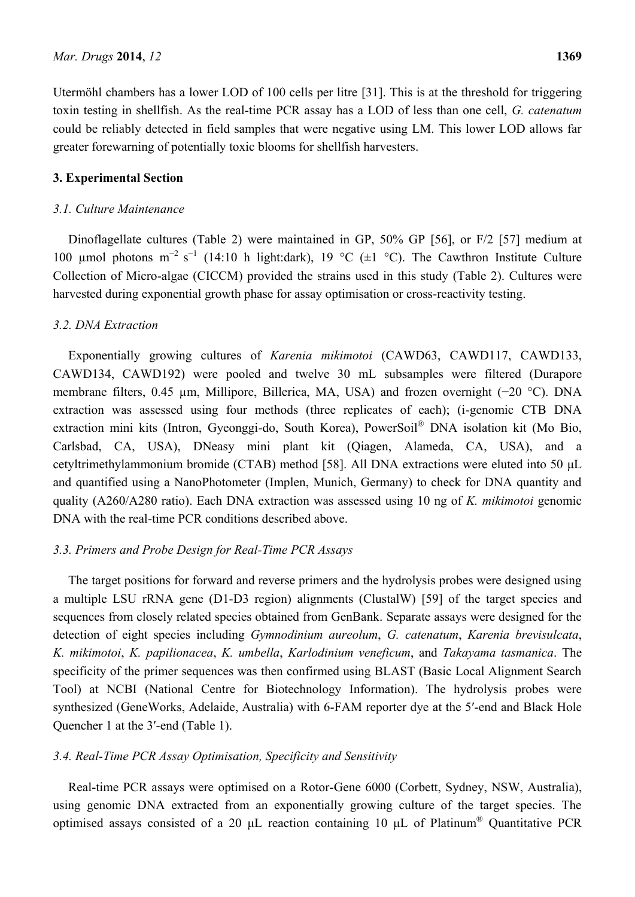Utermöhl chambers has a lower LOD of 100 cells per litre [31]. This is at the threshold for triggering toxin testing in shellfish. As the real-time PCR assay has a LOD of less than one cell, *G. catenatum*  could be reliably detected in field samples that were negative using LM. This lower LOD allows far greater forewarning of potentially toxic blooms for shellfish harvesters.

## **3. Experimental Section**

#### *3.1. Culture Maintenance*

Dinoflagellate cultures (Table 2) were maintained in GP, 50% GP [56], or F/2 [57] medium at 100 µmol photons  $m^{-2} s^{-1}$  (14:10 h light:dark), 19 °C ( $\pm 1$  °C). The Cawthron Institute Culture Collection of Micro-algae (CICCM) provided the strains used in this study (Table 2). Cultures were harvested during exponential growth phase for assay optimisation or cross-reactivity testing.

#### *3.2. DNA Extraction*

Exponentially growing cultures of *Karenia mikimotoi* (CAWD63, CAWD117, CAWD133, CAWD134, CAWD192) were pooled and twelve 30 mL subsamples were filtered (Durapore membrane filters, 0.45 µm, Millipore, Billerica, MA, USA) and frozen overnight (−20 °C). DNA extraction was assessed using four methods (three replicates of each); (i-genomic CTB DNA extraction mini kits (Intron, Gyeonggi-do, South Korea), PowerSoil® DNA isolation kit (Mo Bio, Carlsbad, CA, USA), DNeasy mini plant kit (Qiagen, Alameda, CA, USA), and a cetyltrimethylammonium bromide (CTAB) method [58]. All DNA extractions were eluted into 50 μL and quantified using a NanoPhotometer (Implen, Munich, Germany) to check for DNA quantity and quality (A260/A280 ratio). Each DNA extraction was assessed using 10 ng of *K. mikimotoi* genomic DNA with the real-time PCR conditions described above.

#### *3.3. Primers and Probe Design for Real-Time PCR Assays*

The target positions for forward and reverse primers and the hydrolysis probes were designed using a multiple LSU rRNA gene (D1-D3 region) alignments (ClustalW) [59] of the target species and sequences from closely related species obtained from GenBank. Separate assays were designed for the detection of eight species including *Gymnodinium aureolum*, *G. catenatum*, *Karenia brevisulcata*, *K. mikimotoi*, *K. papilionacea*, *K. umbella*, *Karlodinium veneficum*, and *Takayama tasmanica*. The specificity of the primer sequences was then confirmed using BLAST (Basic Local Alignment Search Tool) at NCBI (National Centre for Biotechnology Information). The hydrolysis probes were synthesized (GeneWorks, Adelaide, Australia) with 6-FAM reporter dye at the 5′-end and Black Hole Quencher 1 at the 3′-end (Table 1).

#### *3.4. Real-Time PCR Assay Optimisation, Specificity and Sensitivity*

Real-time PCR assays were optimised on a Rotor-Gene 6000 (Corbett, Sydney, NSW, Australia), using genomic DNA extracted from an exponentially growing culture of the target species. The optimised assays consisted of a 20 μL reaction containing 10 μL of Platinum® Quantitative PCR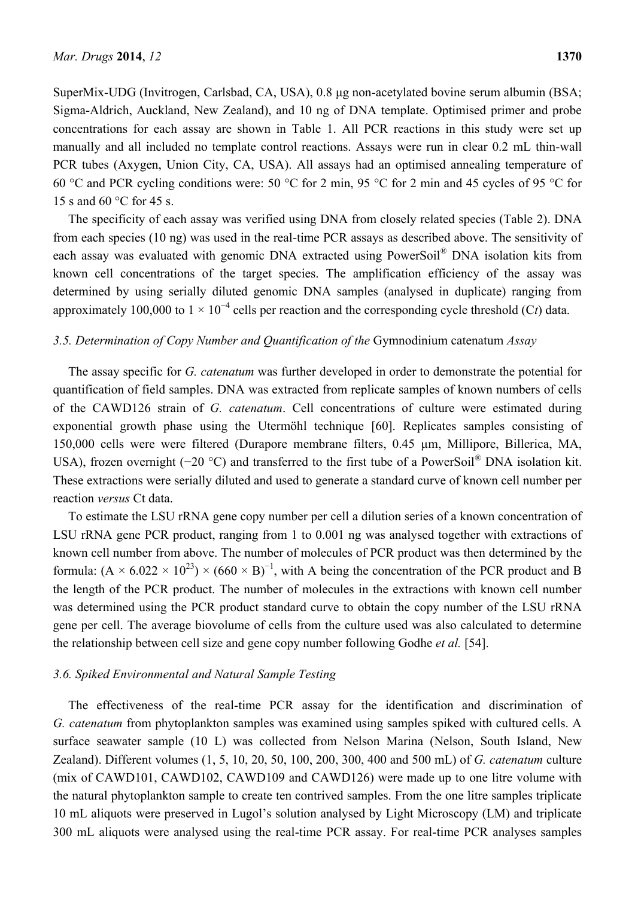SuperMix-UDG (Invitrogen, Carlsbad, CA, USA), 0.8 μg non-acetylated bovine serum albumin (BSA; Sigma-Aldrich, Auckland, New Zealand), and 10 ng of DNA template. Optimised primer and probe concentrations for each assay are shown in Table 1. All PCR reactions in this study were set up manually and all included no template control reactions. Assays were run in clear 0.2 mL thin-wall PCR tubes (Axygen, Union City, CA, USA). All assays had an optimised annealing temperature of 60 °C and PCR cycling conditions were: 50 °C for 2 min, 95 °C for 2 min and 45 cycles of 95 °C for 15 s and 60 °C for 45 s.

The specificity of each assay was verified using DNA from closely related species (Table 2). DNA from each species (10 ng) was used in the real-time PCR assays as described above. The sensitivity of each assay was evaluated with genomic DNA extracted using PowerSoil® DNA isolation kits from known cell concentrations of the target species. The amplification efficiency of the assay was determined by using serially diluted genomic DNA samples (analysed in duplicate) ranging from approximately 100,000 to 1  $\times$  10<sup>-4</sup> cells per reaction and the corresponding cycle threshold (Ct) data.

#### *3.5. Determination of Copy Number and Quantification of the* Gymnodinium catenatum *Assay*

The assay specific for *G. catenatum* was further developed in order to demonstrate the potential for quantification of field samples. DNA was extracted from replicate samples of known numbers of cells of the CAWD126 strain of *G. catenatum*. Cell concentrations of culture were estimated during exponential growth phase using the Utermöhl technique [60]. Replicates samples consisting of 150,000 cells were were filtered (Durapore membrane filters, 0.45 µm, Millipore, Billerica, MA, USA), frozen overnight (−20 °C) and transferred to the first tube of a PowerSoil<sup>®</sup> DNA isolation kit. These extractions were serially diluted and used to generate a standard curve of known cell number per reaction *versus* Ct data.

To estimate the LSU rRNA gene copy number per cell a dilution series of a known concentration of LSU rRNA gene PCR product, ranging from 1 to 0.001 ng was analysed together with extractions of known cell number from above. The number of molecules of PCR product was then determined by the formula:  $(A \times 6.022 \times 10^{23}) \times (660 \times B)^{-1}$ , with A being the concentration of the PCR product and B the length of the PCR product. The number of molecules in the extractions with known cell number was determined using the PCR product standard curve to obtain the copy number of the LSU rRNA gene per cell. The average biovolume of cells from the culture used was also calculated to determine the relationship between cell size and gene copy number following Godhe *et al.* [54].

## *3.6. Spiked Environmental and Natural Sample Testing*

The effectiveness of the real-time PCR assay for the identification and discrimination of *G. catenatum* from phytoplankton samples was examined using samples spiked with cultured cells. A surface seawater sample (10 L) was collected from Nelson Marina (Nelson, South Island, New Zealand). Different volumes (1, 5, 10, 20, 50, 100, 200, 300, 400 and 500 mL) of *G. catenatum* culture (mix of CAWD101, CAWD102, CAWD109 and CAWD126) were made up to one litre volume with the natural phytoplankton sample to create ten contrived samples. From the one litre samples triplicate 10 mL aliquots were preserved in Lugol's solution analysed by Light Microscopy (LM) and triplicate 300 mL aliquots were analysed using the real-time PCR assay. For real-time PCR analyses samples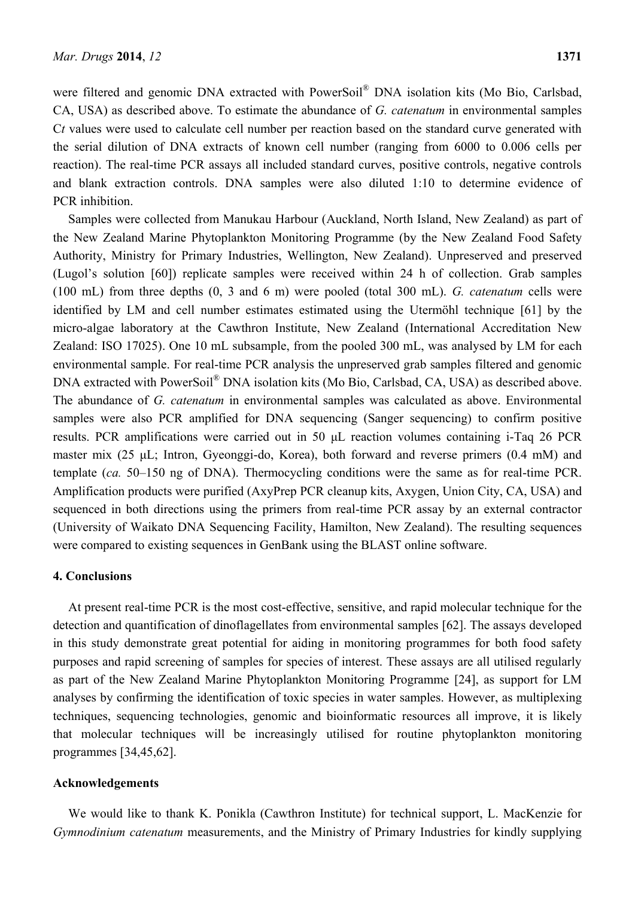were filtered and genomic DNA extracted with PowerSoil® DNA isolation kits (Mo Bio, Carlsbad, CA, USA) as described above. To estimate the abundance of *G. catenatum* in environmental samples C*t* values were used to calculate cell number per reaction based on the standard curve generated with the serial dilution of DNA extracts of known cell number (ranging from 6000 to 0.006 cells per reaction). The real-time PCR assays all included standard curves, positive controls, negative controls and blank extraction controls. DNA samples were also diluted 1:10 to determine evidence of PCR inhibition.

Samples were collected from Manukau Harbour (Auckland, North Island, New Zealand) as part of the New Zealand Marine Phytoplankton Monitoring Programme (by the New Zealand Food Safety Authority, Ministry for Primary Industries, Wellington, New Zealand). Unpreserved and preserved (Lugol's solution [60]) replicate samples were received within 24 h of collection. Grab samples (100 mL) from three depths (0, 3 and 6 m) were pooled (total 300 mL). *G. catenatum* cells were identified by LM and cell number estimates estimated using the Utermöhl technique [61] by the micro-algae laboratory at the Cawthron Institute, New Zealand (International Accreditation New Zealand: ISO 17025). One 10 mL subsample, from the pooled 300 mL, was analysed by LM for each environmental sample. For real-time PCR analysis the unpreserved grab samples filtered and genomic DNA extracted with PowerSoil<sup>®</sup> DNA isolation kits (Mo Bio, Carlsbad, CA, USA) as described above. The abundance of *G. catenatum* in environmental samples was calculated as above. Environmental samples were also PCR amplified for DNA sequencing (Sanger sequencing) to confirm positive results. PCR amplifications were carried out in 50 μL reaction volumes containing i-Taq 26 PCR master mix (25 μL; Intron, Gyeonggi-do, Korea), both forward and reverse primers (0.4 mM) and template (*ca.* 50–150 ng of DNA). Thermocycling conditions were the same as for real-time PCR. Amplification products were purified (AxyPrep PCR cleanup kits, Axygen, Union City, CA, USA) and sequenced in both directions using the primers from real-time PCR assay by an external contractor (University of Waikato DNA Sequencing Facility, Hamilton, New Zealand). The resulting sequences were compared to existing sequences in GenBank using the BLAST online software.

## **4. Conclusions**

At present real-time PCR is the most cost-effective, sensitive, and rapid molecular technique for the detection and quantification of dinoflagellates from environmental samples [62]. The assays developed in this study demonstrate great potential for aiding in monitoring programmes for both food safety purposes and rapid screening of samples for species of interest. These assays are all utilised regularly as part of the New Zealand Marine Phytoplankton Monitoring Programme [24], as support for LM analyses by confirming the identification of toxic species in water samples. However, as multiplexing techniques, sequencing technologies, genomic and bioinformatic resources all improve, it is likely that molecular techniques will be increasingly utilised for routine phytoplankton monitoring programmes [34,45,62].

#### **Acknowledgements**

We would like to thank K. Ponikla (Cawthron Institute) for technical support, L. MacKenzie for *Gymnodinium catenatum* measurements, and the Ministry of Primary Industries for kindly supplying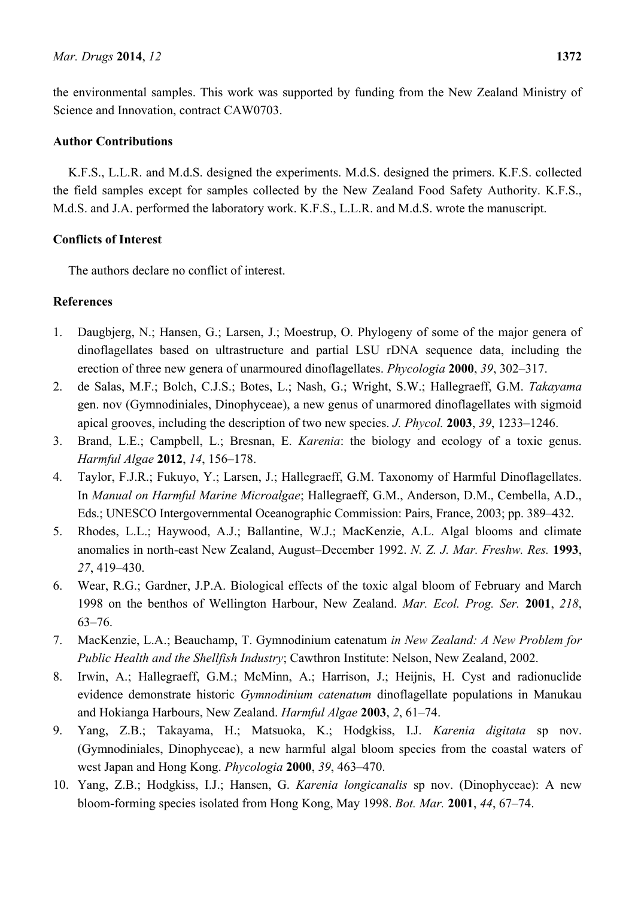the environmental samples. This work was supported by funding from the New Zealand Ministry of Science and Innovation, contract CAW0703.

## **Author Contributions**

K.F.S., L.L.R. and M.d.S. designed the experiments. M.d.S. designed the primers. K.F.S. collected the field samples except for samples collected by the New Zealand Food Safety Authority. K.F.S., M.d.S. and J.A. performed the laboratory work. K.F.S., L.L.R. and M.d.S. wrote the manuscript.

## **Conflicts of Interest**

The authors declare no conflict of interest.

## **References**

- 1. Daugbjerg, N.; Hansen, G.; Larsen, J.; Moestrup, O. Phylogeny of some of the major genera of dinoflagellates based on ultrastructure and partial LSU rDNA sequence data, including the erection of three new genera of unarmoured dinoflagellates. *Phycologia* **2000**, *39*, 302–317.
- 2. de Salas, M.F.; Bolch, C.J.S.; Botes, L.; Nash, G.; Wright, S.W.; Hallegraeff, G.M. *Takayama*  gen. nov (Gymnodiniales, Dinophyceae), a new genus of unarmored dinoflagellates with sigmoid apical grooves, including the description of two new species. *J. Phycol.* **2003**, *39*, 1233–1246.
- 3. Brand, L.E.; Campbell, L.; Bresnan, E. *Karenia*: the biology and ecology of a toxic genus. *Harmful Algae* **2012**, *14*, 156–178.
- 4. Taylor, F.J.R.; Fukuyo, Y.; Larsen, J.; Hallegraeff, G.M. Taxonomy of Harmful Dinoflagellates. In *Manual on Harmful Marine Microalgae*; Hallegraeff, G.M., Anderson, D.M., Cembella, A.D., Eds.; UNESCO Intergovernmental Oceanographic Commission: Pairs, France, 2003; pp. 389–432.
- 5. Rhodes, L.L.; Haywood, A.J.; Ballantine, W.J.; MacKenzie, A.L. Algal blooms and climate anomalies in north-east New Zealand, August–December 1992. *N. Z. J. Mar. Freshw. Res.* **1993**, *27*, 419–430.
- 6. Wear, R.G.; Gardner, J.P.A. Biological effects of the toxic algal bloom of February and March 1998 on the benthos of Wellington Harbour, New Zealand. *Mar. Ecol. Prog. Ser.* **2001**, *218*, 63–76.
- 7. MacKenzie, L.A.; Beauchamp, T. Gymnodinium catenatum *in New Zealand: A New Problem for Public Health and the Shellfish Industry*; Cawthron Institute: Nelson, New Zealand, 2002.
- 8. Irwin, A.; Hallegraeff, G.M.; McMinn, A.; Harrison, J.; Heijnis, H. Cyst and radionuclide evidence demonstrate historic *Gymnodinium catenatum* dinoflagellate populations in Manukau and Hokianga Harbours, New Zealand. *Harmful Algae* **2003**, *2*, 61–74.
- 9. Yang, Z.B.; Takayama, H.; Matsuoka, K.; Hodgkiss, I.J. *Karenia digitata* sp nov. (Gymnodiniales, Dinophyceae), a new harmful algal bloom species from the coastal waters of west Japan and Hong Kong. *Phycologia* **2000**, *39*, 463–470.
- 10. Yang, Z.B.; Hodgkiss, I.J.; Hansen, G. *Karenia longicanalis* sp nov. (Dinophyceae): A new bloom-forming species isolated from Hong Kong, May 1998. *Bot. Mar.* **2001**, *44*, 67–74.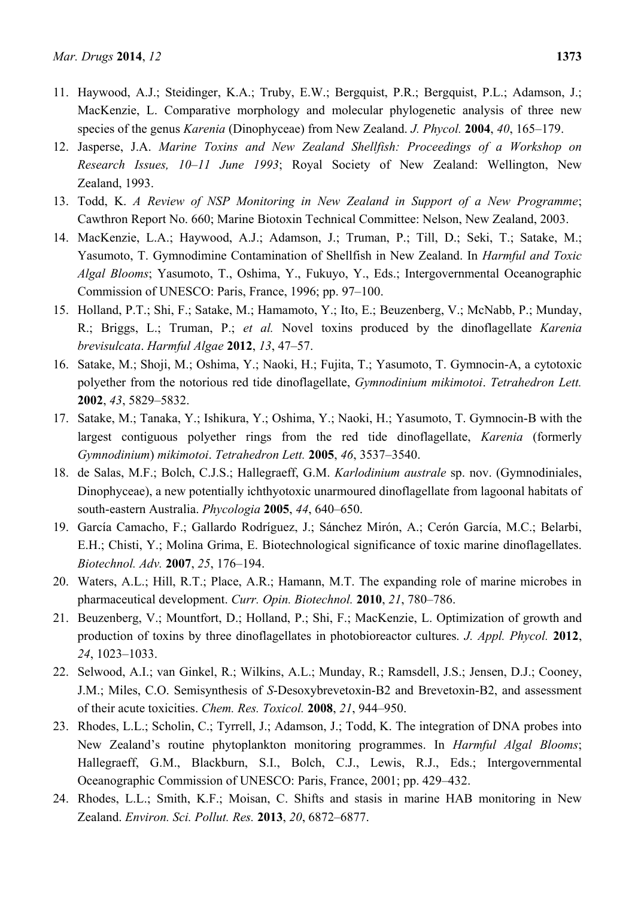- 11. Haywood, A.J.; Steidinger, K.A.; Truby, E.W.; Bergquist, P.R.; Bergquist, P.L.; Adamson, J.; MacKenzie, L. Comparative morphology and molecular phylogenetic analysis of three new species of the genus *Karenia* (Dinophyceae) from New Zealand. *J. Phycol.* **2004**, *40*, 165–179.
- 12. Jasperse, J.A. *Marine Toxins and New Zealand Shellfish: Proceedings of a Workshop on Research Issues, 10–11 June 1993*; Royal Society of New Zealand: Wellington, New Zealand, 1993.
- 13. Todd, K. *A Review of NSP Monitoring in New Zealand in Support of a New Programme*; Cawthron Report No. 660; Marine Biotoxin Technical Committee: Nelson, New Zealand, 2003.
- 14. MacKenzie, L.A.; Haywood, A.J.; Adamson, J.; Truman, P.; Till, D.; Seki, T.; Satake, M.; Yasumoto, T. Gymnodimine Contamination of Shellfish in New Zealand. In *Harmful and Toxic Algal Blooms*; Yasumoto, T., Oshima, Y., Fukuyo, Y., Eds.; Intergovernmental Oceanographic Commission of UNESCO: Paris, France, 1996; pp. 97–100.
- 15. Holland, P.T.; Shi, F.; Satake, M.; Hamamoto, Y.; Ito, E.; Beuzenberg, V.; McNabb, P.; Munday, R.; Briggs, L.; Truman, P.; *et al.* Novel toxins produced by the dinoflagellate *Karenia brevisulcata*. *Harmful Algae* **2012**, *13*, 47–57.
- 16. Satake, M.; Shoji, M.; Oshima, Y.; Naoki, H.; Fujita, T.; Yasumoto, T. Gymnocin-A, a cytotoxic polyether from the notorious red tide dinoflagellate, *Gymnodinium mikimotoi*. *Tetrahedron Lett.* **2002**, *43*, 5829–5832.
- 17. Satake, M.; Tanaka, Y.; Ishikura, Y.; Oshima, Y.; Naoki, H.; Yasumoto, T. Gymnocin-B with the largest contiguous polyether rings from the red tide dinoflagellate, *Karenia* (formerly *Gymnodinium*) *mikimotoi*. *Tetrahedron Lett.* **2005**, *46*, 3537–3540.
- 18. de Salas, M.F.; Bolch, C.J.S.; Hallegraeff, G.M. *Karlodinium australe* sp. nov. (Gymnodiniales, Dinophyceae), a new potentially ichthyotoxic unarmoured dinoflagellate from lagoonal habitats of south-eastern Australia. *Phycologia* **2005**, *44*, 640–650.
- 19. García Camacho, F.; Gallardo Rodríguez, J.; Sánchez Mirón, A.; Cerón García, M.C.; Belarbi, E.H.; Chisti, Y.; Molina Grima, E. Biotechnological significance of toxic marine dinoflagellates. *Biotechnol. Adv.* **2007**, *25*, 176–194.
- 20. Waters, A.L.; Hill, R.T.; Place, A.R.; Hamann, M.T. The expanding role of marine microbes in pharmaceutical development. *Curr. Opin. Biotechnol.* **2010**, *21*, 780–786.
- 21. Beuzenberg, V.; Mountfort, D.; Holland, P.; Shi, F.; MacKenzie, L. Optimization of growth and production of toxins by three dinoflagellates in photobioreactor cultures. *J. Appl. Phycol.* **2012**, *24*, 1023–1033.
- 22. Selwood, A.I.; van Ginkel, R.; Wilkins, A.L.; Munday, R.; Ramsdell, J.S.; Jensen, D.J.; Cooney, J.M.; Miles, C.O. Semisynthesis of *S*-Desoxybrevetoxin-B2 and Brevetoxin-B2, and assessment of their acute toxicities. *Chem. Res. Toxicol.* **2008**, *21*, 944–950.
- 23. Rhodes, L.L.; Scholin, C.; Tyrrell, J.; Adamson, J.; Todd, K. The integration of DNA probes into New Zealand's routine phytoplankton monitoring programmes. In *Harmful Algal Blooms*; Hallegraeff, G.M., Blackburn, S.I., Bolch, C.J., Lewis, R.J., Eds.; Intergovernmental Oceanographic Commission of UNESCO: Paris, France, 2001; pp. 429–432.
- 24. Rhodes, L.L.; Smith, K.F.; Moisan, C. Shifts and stasis in marine HAB monitoring in New Zealand. *Environ. Sci. Pollut. Res.* **2013**, *20*, 6872–6877.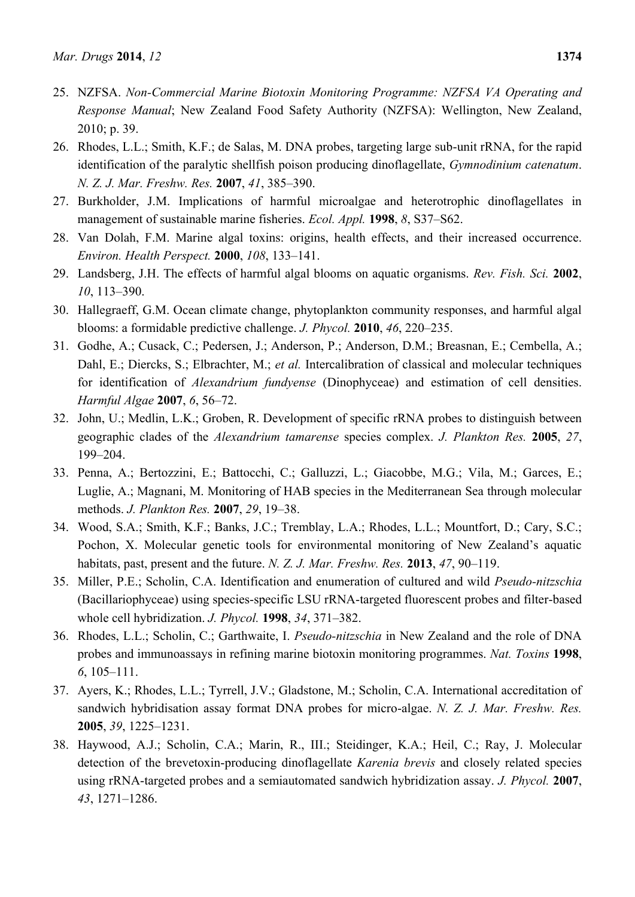- 25. NZFSA. *Non-Commercial Marine Biotoxin Monitoring Programme: NZFSA VA Operating and Response Manual*; New Zealand Food Safety Authority (NZFSA): Wellington, New Zealand, 2010; p. 39.
- 26. Rhodes, L.L.; Smith, K.F.; de Salas, M. DNA probes, targeting large sub-unit rRNA, for the rapid identification of the paralytic shellfish poison producing dinoflagellate, *Gymnodinium catenatum*. *N. Z. J. Mar. Freshw. Res.* **2007**, *41*, 385–390.
- 27. Burkholder, J.M. Implications of harmful microalgae and heterotrophic dinoflagellates in management of sustainable marine fisheries. *Ecol. Appl.* **1998**, *8*, S37–S62.
- 28. Van Dolah, F.M. Marine algal toxins: origins, health effects, and their increased occurrence. *Environ. Health Perspect.* **2000**, *108*, 133–141.
- 29. Landsberg, J.H. The effects of harmful algal blooms on aquatic organisms. *Rev. Fish. Sci.* **2002**, *10*, 113–390.
- 30. Hallegraeff, G.M. Ocean climate change, phytoplankton community responses, and harmful algal blooms: a formidable predictive challenge. *J. Phycol.* **2010**, *46*, 220–235.
- 31. Godhe, A.; Cusack, C.; Pedersen, J.; Anderson, P.; Anderson, D.M.; Breasnan, E.; Cembella, A.; Dahl, E.; Diercks, S.; Elbrachter, M.; *et al.* Intercalibration of classical and molecular techniques for identification of *Alexandrium fundyense* (Dinophyceae) and estimation of cell densities. *Harmful Algae* **2007**, *6*, 56–72.
- 32. John, U.; Medlin, L.K.; Groben, R. Development of specific rRNA probes to distinguish between geographic clades of the *Alexandrium tamarense* species complex. *J. Plankton Res.* **2005**, *27*, 199–204.
- 33. Penna, A.; Bertozzini, E.; Battocchi, C.; Galluzzi, L.; Giacobbe, M.G.; Vila, M.; Garces, E.; Luglie, A.; Magnani, M. Monitoring of HAB species in the Mediterranean Sea through molecular methods. *J. Plankton Res.* **2007**, *29*, 19–38.
- 34. Wood, S.A.; Smith, K.F.; Banks, J.C.; Tremblay, L.A.; Rhodes, L.L.; Mountfort, D.; Cary, S.C.; Pochon, X. Molecular genetic tools for environmental monitoring of New Zealand's aquatic habitats, past, present and the future. *N. Z. J. Mar. Freshw. Res.* **2013**, *47*, 90–119.
- 35. Miller, P.E.; Scholin, C.A. Identification and enumeration of cultured and wild *Pseudo-nitzschia* (Bacillariophyceae) using species-specific LSU rRNA-targeted fluorescent probes and filter-based whole cell hybridization. *J. Phycol.* **1998**, *34*, 371–382.
- 36. Rhodes, L.L.; Scholin, C.; Garthwaite, I. *Pseudo-nitzschia* in New Zealand and the role of DNA probes and immunoassays in refining marine biotoxin monitoring programmes. *Nat. Toxins* **1998**, *6*, 105–111.
- 37. Ayers, K.; Rhodes, L.L.; Tyrrell, J.V.; Gladstone, M.; Scholin, C.A. International accreditation of sandwich hybridisation assay format DNA probes for micro-algae. *N. Z. J. Mar. Freshw. Res.* **2005**, *39*, 1225–1231.
- 38. Haywood, A.J.; Scholin, C.A.; Marin, R., III.; Steidinger, K.A.; Heil, C.; Ray, J. Molecular detection of the brevetoxin-producing dinoflagellate *Karenia brevis* and closely related species using rRNA-targeted probes and a semiautomated sandwich hybridization assay. *J. Phycol.* **2007**, *43*, 1271–1286.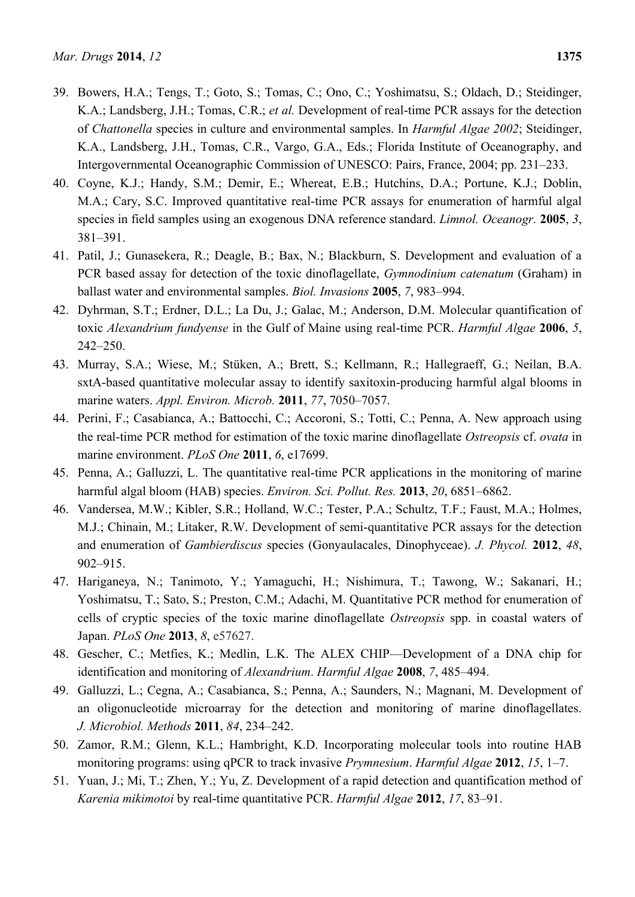- 39. Bowers, H.A.; Tengs, T.; Goto, S.; Tomas, C.; Ono, C.; Yoshimatsu, S.; Oldach, D.; Steidinger, K.A.; Landsberg, J.H.; Tomas, C.R.; *et al.* Development of real-time PCR assays for the detection of *Chattonella* species in culture and environmental samples. In *Harmful Algae 2002*; Steidinger, K.A., Landsberg, J.H., Tomas, C.R., Vargo, G.A., Eds.; Florida Institute of Oceanography, and Intergovernmental Oceanographic Commission of UNESCO: Pairs, France, 2004; pp. 231–233.
- 40. Coyne, K.J.; Handy, S.M.; Demir, E.; Whereat, E.B.; Hutchins, D.A.; Portune, K.J.; Doblin, M.A.; Cary, S.C. Improved quantitative real-time PCR assays for enumeration of harmful algal species in field samples using an exogenous DNA reference standard. *Limnol. Oceanogr.* **2005**, *3*, 381–391.
- 41. Patil, J.; Gunasekera, R.; Deagle, B.; Bax, N.; Blackburn, S. Development and evaluation of a PCR based assay for detection of the toxic dinoflagellate, *Gymnodinium catenatum* (Graham) in ballast water and environmental samples. *Biol. Invasions* **2005**, *7*, 983–994.
- 42. Dyhrman, S.T.; Erdner, D.L.; La Du, J.; Galac, M.; Anderson, D.M. Molecular quantification of toxic *Alexandrium fundyense* in the Gulf of Maine using real-time PCR. *Harmful Algae* **2006**, *5*, 242–250.
- 43. Murray, S.A.; Wiese, M.; Stüken, A.; Brett, S.; Kellmann, R.; Hallegraeff, G.; Neilan, B.A. sxtA-based quantitative molecular assay to identify saxitoxin-producing harmful algal blooms in marine waters. *Appl. Environ. Microb.* **2011**, *77*, 7050–7057.
- 44. Perini, F.; Casabianca, A.; Battocchi, C.; Accoroni, S.; Totti, C.; Penna, A. New approach using the real-time PCR method for estimation of the toxic marine dinoflagellate *Ostreopsis* cf. *ovata* in marine environment. *PLoS One* **2011**, *6*, e17699.
- 45. Penna, A.; Galluzzi, L. The quantitative real-time PCR applications in the monitoring of marine harmful algal bloom (HAB) species. *Environ. Sci. Pollut. Res.* **2013**, *20*, 6851–6862.
- 46. Vandersea, M.W.; Kibler, S.R.; Holland, W.C.; Tester, P.A.; Schultz, T.F.; Faust, M.A.; Holmes, M.J.; Chinain, M.; Litaker, R.W. Development of semi-quantitative PCR assays for the detection and enumeration of *Gambierdiscus* species (Gonyaulacales, Dinophyceae). *J. Phycol.* **2012**, *48*, 902–915.
- 47. Hariganeya, N.; Tanimoto, Y.; Yamaguchi, H.; Nishimura, T.; Tawong, W.; Sakanari, H.; Yoshimatsu, T.; Sato, S.; Preston, C.M.; Adachi, M. Quantitative PCR method for enumeration of cells of cryptic species of the toxic marine dinoflagellate *Ostreopsis* spp. in coastal waters of Japan. *PLoS One* **2013**, *8*, e57627.
- 48. Gescher, C.; Metfies, K.; Medlin, L.K. The ALEX CHIP—Development of a DNA chip for identification and monitoring of *Alexandrium*. *Harmful Algae* **2008**, *7*, 485–494.
- 49. Galluzzi, L.; Cegna, A.; Casabianca, S.; Penna, A.; Saunders, N.; Magnani, M. Development of an oligonucleotide microarray for the detection and monitoring of marine dinoflagellates. *J. Microbiol. Methods* **2011**, *84*, 234–242.
- 50. Zamor, R.M.; Glenn, K.L.; Hambright, K.D. Incorporating molecular tools into routine HAB monitoring programs: using qPCR to track invasive *Prymnesium*. *Harmful Algae* **2012**, *15*, 1–7.
- 51. Yuan, J.; Mi, T.; Zhen, Y.; Yu, Z. Development of a rapid detection and quantification method of *Karenia mikimotoi* by real-time quantitative PCR. *Harmful Algae* **2012**, *17*, 83–91.